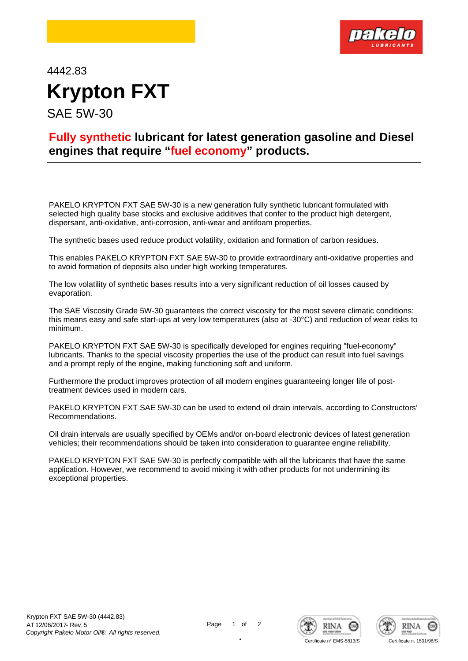

4442.83 **Krypton FXT** SAE 5W-30

## **Fully synthetic lubricant for latest generation gasoline and Diesel engines that require "fuel economy" products.**

PAKELO KRYPTON FXT SAE 5W-30 is a new generation fully synthetic lubricant formulated with selected high quality base stocks and exclusive additives that confer to the product high detergent, dispersant, anti-oxidative, anti-corrosion, anti-wear and antifoam properties.

The synthetic bases used reduce product volatility, oxidation and formation of carbon residues.

This enables PAKELO KRYPTON FXT SAE 5W-30 to provide extraordinary anti-oxidative properties and to avoid formation of deposits also under high working temperatures.

The low volatility of synthetic bases results into a very significant reduction of oil losses caused by evaporation.

The SAE Viscosity Grade 5W-30 guarantees the correct viscosity for the most severe climatic conditions: this means easy and safe start-ups at very low temperatures (also at -30°C) and reduction of wear risks to minimum.

PAKELO KRYPTON FXT SAE 5W-30 is specifically developed for engines requiring "fuel-economy" lubricants. Thanks to the special viscosity properties the use of the product can result into fuel savings and a prompt reply of the engine, making functioning soft and uniform.

Furthermore the product improves protection of all modern engines guaranteeing longer life of posttreatment devices used in modern cars.

PAKELO KRYPTON FXT SAE 5W-30 can be used to extend oil drain intervals, according to Constructors' Recommendations.

Oil drain intervals are usually specified by OEMs and/or on-board electronic devices of latest generation vehicles; their recommendations should be taken into consideration to guarantee engine reliability.

PAKELO KRYPTON FXT SAE 5W-30 is perfectly compatible with all the lubricants that have the same application. However, we recommend to avoid mixing it with other products for not undermining its exceptional properties.